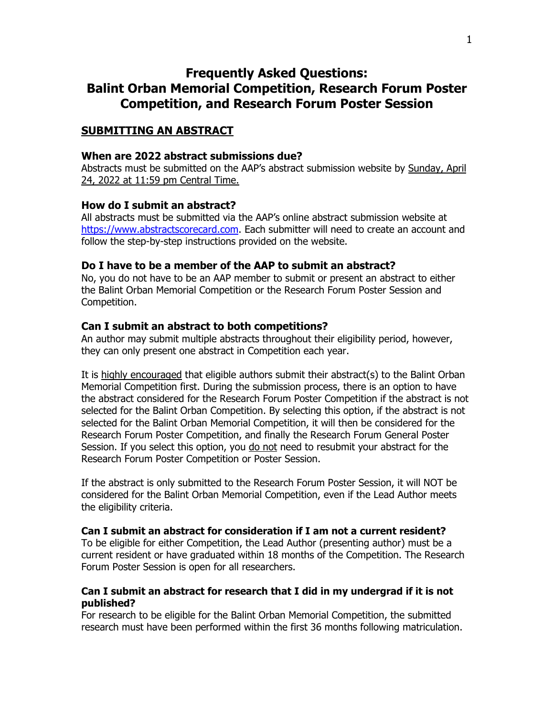# **Frequently Asked Questions: Balint Orban Memorial Competition, Research Forum Poster Competition, and Research Forum Poster Session**

# **SUBMITTING AN ABSTRACT**

### **When are 2022 abstract submissions due?**

Abstracts must be submitted on the AAP's abstract submission website by Sunday, April 24, 2022 at 11:59 pm Central Time.

### **How do I submit an abstract?**

All abstracts must be submitted via the AAP's online abstract submission website at [https://www.abstractscorecard.com.](https://www.abstractscorecard.com/cfp/submit/login.asp?EventKey=UKPOSZGO) Each submitter will need to create an account and follow the step-by-step instructions provided on the website.

### **Do I have to be a member of the AAP to submit an abstract?**

No, you do not have to be an AAP member to submit or present an abstract to either the Balint Orban Memorial Competition or the Research Forum Poster Session and Competition.

# **Can I submit an abstract to both competitions?**

An author may submit multiple abstracts throughout their eligibility period, however, they can only present one abstract in Competition each year.

It is highly encouraged that eligible authors submit their abstract(s) to the Balint Orban Memorial Competition first. During the submission process, there is an option to have the abstract considered for the Research Forum Poster Competition if the abstract is not selected for the Balint Orban Competition. By selecting this option, if the abstract is not selected for the Balint Orban Memorial Competition, it will then be considered for the Research Forum Poster Competition, and finally the Research Forum General Poster Session. If you select this option, you do not need to resubmit your abstract for the Research Forum Poster Competition or Poster Session.

If the abstract is only submitted to the Research Forum Poster Session, it will NOT be considered for the Balint Orban Memorial Competition, even if the Lead Author meets the eligibility criteria.

### **Can I submit an abstract for consideration if I am not a current resident?**

To be eligible for either Competition, the Lead Author (presenting author) must be a current resident or have graduated within 18 months of the Competition. The Research Forum Poster Session is open for all researchers.

# **Can I submit an abstract for research that I did in my undergrad if it is not published?**

For research to be eligible for the Balint Orban Memorial Competition, the submitted research must have been performed within the first 36 months following matriculation.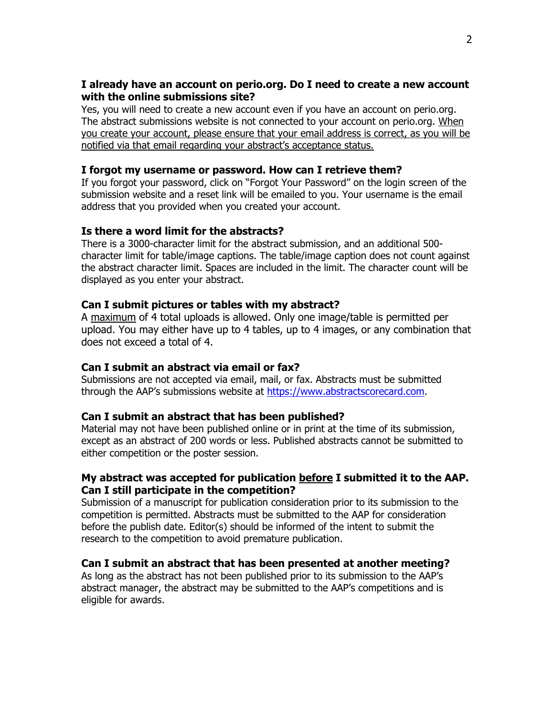# **I already have an account on perio.org. Do I need to create a new account with the online submissions site?**

Yes, you will need to create a new account even if you have an account on perio.org. The abstract submissions website is not connected to your account on perio.org. When you create your account, please ensure that your email address is correct, as you will be notified via that email regarding your abstract's acceptance status.

# **I forgot my username or password. How can I retrieve them?**

If you forgot your password, click on "Forgot Your Password" on the login screen of the submission website and a reset link will be emailed to you. Your username is the email address that you provided when you created your account.

# **Is there a word limit for the abstracts?**

There is a 3000-character limit for the abstract submission, and an additional 500 character limit for table/image captions. The table/image caption does not count against the abstract character limit. Spaces are included in the limit. The character count will be displayed as you enter your abstract.

# **Can I submit pictures or tables with my abstract?**

A maximum of 4 total uploads is allowed. Only one image/table is permitted per upload. You may either have up to 4 tables, up to 4 images, or any combination that does not exceed a total of 4.

### **Can I submit an abstract via email or fax?**

Submissions are not accepted via email, mail, or fax. Abstracts must be submitted through the AAP's submissions website at [https://www.abstractscorecard.com.](https://www.abstractscorecard.com/cfp/submit/login.asp?EventKey=UKPOSZGO)

### **Can I submit an abstract that has been published?**

Material may not have been published online or in print at the time of its submission, except as an abstract of 200 words or less. Published abstracts cannot be submitted to either competition or the poster session.

# **My abstract was accepted for publication before I submitted it to the AAP. Can I still participate in the competition?**

Submission of a manuscript for publication consideration prior to its submission to the competition is permitted. Abstracts must be submitted to the AAP for consideration before the publish date. Editor(s) should be informed of the intent to submit the research to the competition to avoid premature publication.

# **Can I submit an abstract that has been presented at another meeting?**

As long as the abstract has not been published prior to its submission to the AAP's abstract manager, the abstract may be submitted to the AAP's competitions and is eligible for awards.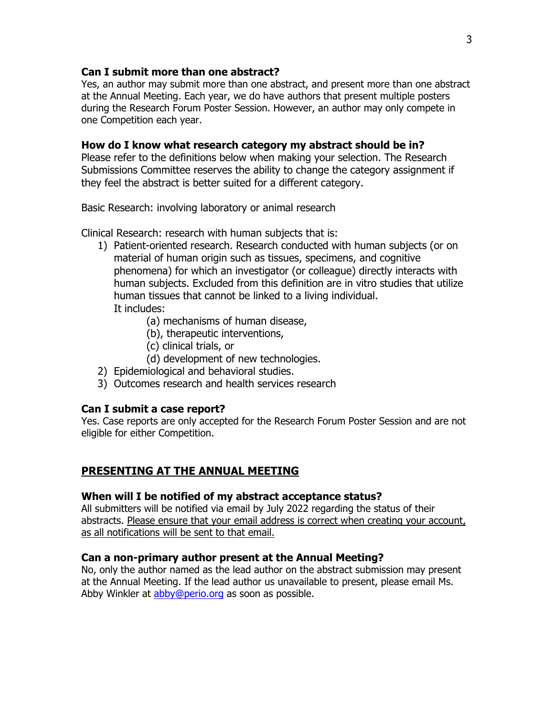# **Can I submit more than one abstract?**

Yes, an author may submit more than one abstract, and present more than one abstract at the Annual Meeting. Each year, we do have authors that present multiple posters during the Research Forum Poster Session. However, an author may only compete in one Competition each year.

# **How do I know what research category my abstract should be in?**

Please refer to the definitions below when making your selection. The Research Submissions Committee reserves the ability to change the category assignment if they feel the abstract is better suited for a different category.

Basic Research: involving laboratory or animal research

Clinical Research: research with human subjects that is:

- 1) Patient-oriented research. Research conducted with human subjects (or on material of human origin such as tissues, specimens, and cognitive phenomena) for which an investigator (or colleague) directly interacts with human subjects. Excluded from this definition are in vitro studies that utilize human tissues that cannot be linked to a living individual. It includes:
	- (a) mechanisms of human disease,
	- (b), therapeutic interventions,
	- (c) clinical trials, or

(d) development of new technologies.

- 2) Epidemiological and behavioral studies.
- 3) Outcomes research and health services research

# **Can I submit a case report?**

Yes. Case reports are only accepted for the Research Forum Poster Session and are not eligible for either Competition.

# **PRESENTING AT THE ANNUAL MEETING**

### **When will I be notified of my abstract acceptance status?**

All submitters will be notified via email by July 2022 regarding the status of their abstracts. Please ensure that your email address is correct when creating your account, as all notifications will be sent to that email.

### **Can a non-primary author present at the Annual Meeting?**

No, only the author named as the lead author on the abstract submission may present at the Annual Meeting. If the lead author us unavailable to present, please email Ms. Abby Winkler at [abby@perio.org](mailto:abby@perio.org) as soon as possible.